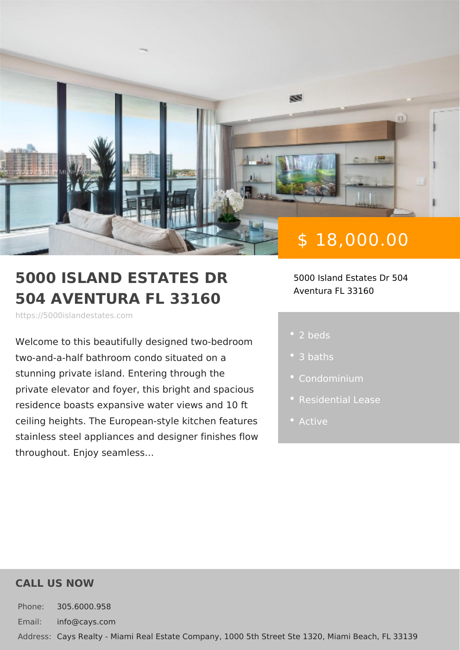# \$ 18,000.00

#### 5000 ISLAND ESTATES DR 5000 Island Estates Dr 504 504 AVENTURA FL 33160 Aventura FL 33160

https://5000islandestates.com

Welcome to this beautifully designed tw two-and-a-half bathroom condo situated stunning private island. Entering throug private elevator and foyer, this bright a residence boasts expansive water views ceiling heights. The European-style kitch stainless steel appliances and designer throughout. Enjoy seamless &

2 beds

- 3 baths
- 
- 
- Active

### CALL US NOW

Phone: 305.6000.958 Email: info@cays.com Addres Cays Realty - Miami Real Estate Company, 1000 5th Street Ste 1320, Mia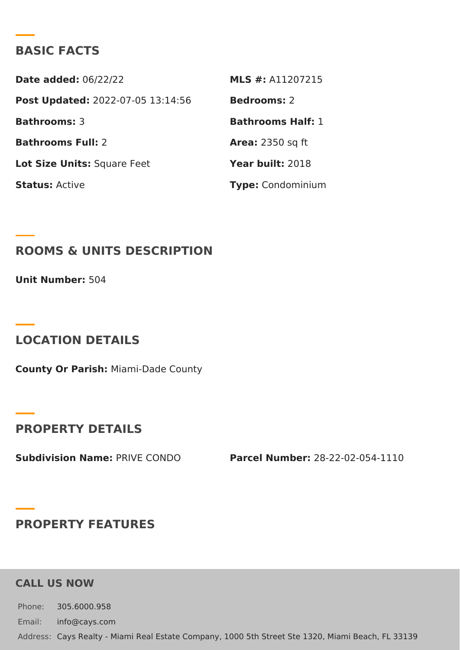# BASIC FACTS

Date added: 6/22/22 MLS #: A11207215 Post Update @022-07-05 13:14:56Bedrooms2 Bathrooms3 Bathrooms Half: Bathrooms Fu2I: Area: 2350 sq ft Lot Size Unifsquare Feet Year buil 2:018 StatusActive Type Condominium

ROOMS & UNITS DESCRIPTION

Unit Numbe<sub>5:04</sub>

LOCATION DETAILS

County Or Paris/liami-Dade County

PROPERTY DETAILS

Subdivision NamPeRIVE CONDO Parcel Number-28-22-02-054-1110

PROPERTY FEATURES

CALL US NOW

Phone: 305.6000.958 Email: info@cays.com Addres Cays Realty - Miami Real Estate Company, 1000 5th Street Ste 1320, Mia